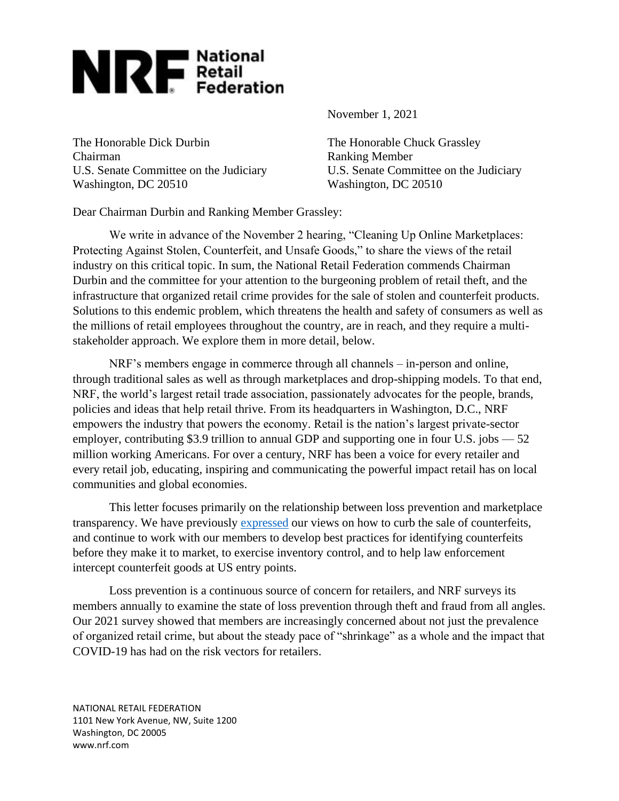

The Honorable Dick Durbin The Honorable Chuck Grassley Chairman Ranking Member Washington, DC 20510 Washington, DC 20510

November 1, 2021

U.S. Senate Committee on the Judiciary U.S. Senate Committee on the Judiciary

Dear Chairman Durbin and Ranking Member Grassley:

We write in advance of the November 2 hearing, "Cleaning Up Online Marketplaces: Protecting Against Stolen, Counterfeit, and Unsafe Goods," to share the views of the retail industry on this critical topic. In sum, the National Retail Federation commends Chairman Durbin and the committee for your attention to the burgeoning problem of retail theft, and the infrastructure that organized retail crime provides for the sale of stolen and counterfeit products. Solutions to this endemic problem, which threatens the health and safety of consumers as well as the millions of retail employees throughout the country, are in reach, and they require a multistakeholder approach. We explore them in more detail, below.

NRF's members engage in commerce through all channels – in-person and online, through traditional sales as well as through marketplaces and drop-shipping models. To that end, NRF, the world's largest retail trade association, passionately advocates for the people, brands, policies and ideas that help retail thrive. From its headquarters in Washington, D.C., NRF empowers the industry that powers the economy. Retail is the nation's largest private-sector employer, contributing \$3.9 trillion to annual GDP and supporting one in four U.S. jobs  $-52$ million working Americans. For over a century, NRF has been a voice for every retailer and every retail job, educating, inspiring and communicating the powerful impact retail has on local communities and global economies.

This letter focuses primarily on the relationship between loss prevention and marketplace transparency. We have previously [expressed](http://d22f3d5c92fe72fd8ca1-d54e62f2f7fc3e2ff1881e7f0cef284e.r22.cf1.rackcdn.com/2019%20Hill%20letters-comments-etc/NRF%20Comments%20to%20Dept%20of%20Commerce%20on%20State%20of%20Counterfeits%20and%20Recommendations%20(Docket%20No.%20DOC-2019-0003)%20-%20Final%20072919.pdf) our views on how to curb the sale of counterfeits, and continue to work with our members to develop best practices for identifying counterfeits before they make it to market, to exercise inventory control, and to help law enforcement intercept counterfeit goods at US entry points.

Loss prevention is a continuous source of concern for retailers, and NRF surveys its members annually to examine the state of loss prevention through theft and fraud from all angles. Our 2021 survey showed that members are increasingly concerned about not just the prevalence of organized retail crime, but about the steady pace of "shrinkage" as a whole and the impact that COVID-19 has had on the risk vectors for retailers.

NATIONAL RETAIL FEDERATION 1101 New York Avenue, NW, Suite 1200 Washington, DC 20005 www.nrf.com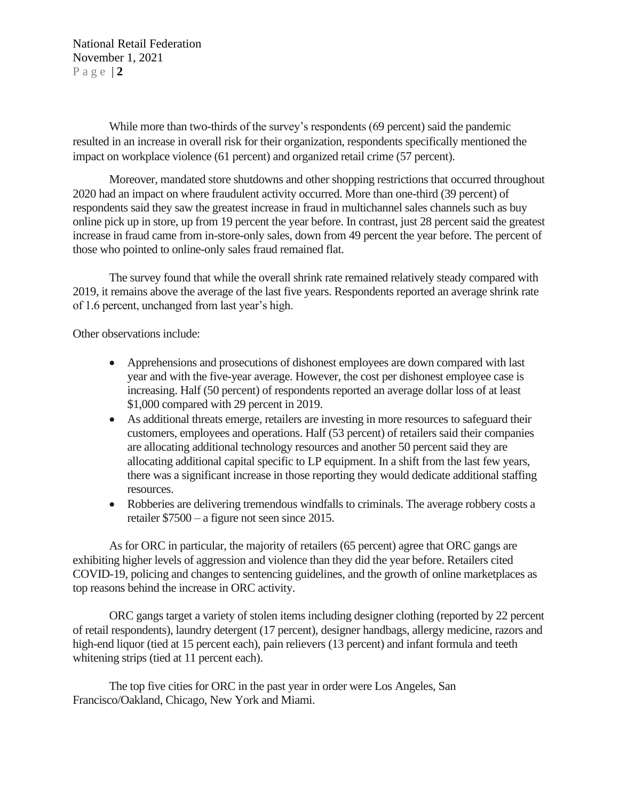National Retail Federation November 1, 2021 P a g e | **2**

While more than two-thirds of the survey's respondents (69 percent) said the pandemic resulted in an increase in overall risk for their organization, respondents specifically mentioned the impact on workplace violence (61 percent) and organized retail crime (57 percent).

Moreover, mandated store shutdowns and other shopping restrictions that occurred throughout 2020 had an impact on where fraudulent activity occurred. More than one-third (39 percent) of respondents said they saw the greatest increase in fraud in multichannel sales channels such as buy online pick up in store, up from 19 percent the year before. In contrast, just 28 percent said the greatest increase in fraud came from in-store-only sales, down from 49 percent the year before. The percent of those who pointed to online-only sales fraud remained flat.

The survey found that while the overall shrink rate remained relatively steady compared with 2019, it remains above the average of the last five years. Respondents reported an average shrink rate of 1.6 percent, unchanged from last year's high.

Other observations include:

- Apprehensions and prosecutions of dishonest employees are down compared with last year and with the five-year average. However, the cost per dishonest employee case is increasing. Half (50 percent) of respondents reported an average dollar loss of at least \$1,000 compared with 29 percent in 2019.
- As additional threats emerge, retailers are investing in more resources to safeguard their customers, employees and operations. Half (53 percent) of retailers said their companies are allocating additional technology resources and another 50 percent said they are allocating additional capital specific to LP equipment. In a shift from the last few years, there was a significant increase in those reporting they would dedicate additional staffing resources.
- Robberies are delivering tremendous windfalls to criminals. The average robbery costs a retailer \$7500 – a figure not seen since 2015.

As for ORC in particular, the majority of retailers (65 percent) agree that ORC gangs are exhibiting higher levels of aggression and violence than they did the year before. Retailers cited COVID-19, policing and changes to sentencing guidelines, and the growth of online marketplaces as top reasons behind the increase in ORC activity.

ORC gangs target a variety of stolen items including designer clothing (reported by 22 percent of retail respondents), laundry detergent (17 percent), designer handbags, allergy medicine, razors and high-end liquor (tied at 15 percent each), pain relievers (13 percent) and infant formula and teeth whitening strips (tied at 11 percent each).

The top five cities for ORC in the past year in order were Los Angeles, San Francisco/Oakland, Chicago, New York and Miami.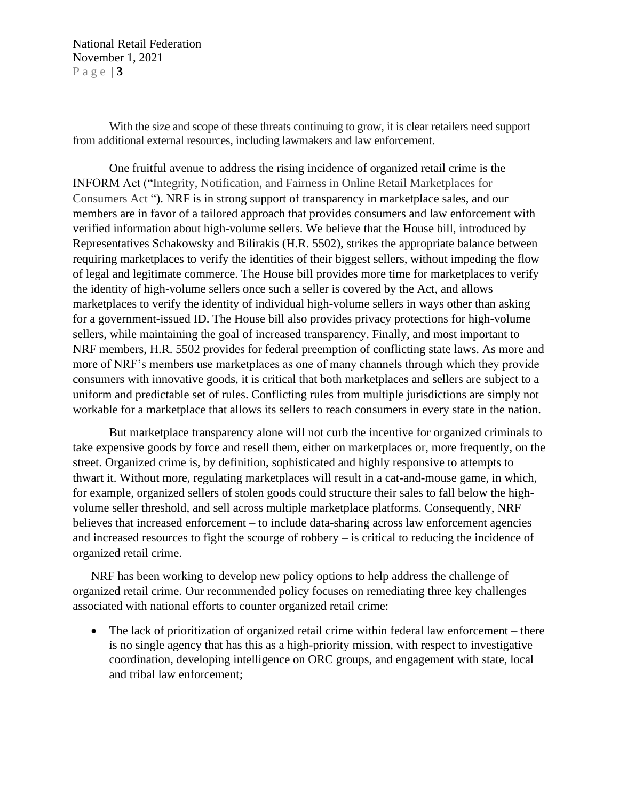National Retail Federation November 1, 2021 P a g e | **3**

With the size and scope of these threats continuing to grow, it is clear retailers need support from additional external resources, including lawmakers and law enforcement.

One fruitful avenue to address the rising incidence of organized retail crime is the INFORM Act ("Integrity, Notification, and Fairness in Online Retail Marketplaces for Consumers Act "). NRF is in strong support of transparency in marketplace sales, and our members are in favor of a tailored approach that provides consumers and law enforcement with verified information about high-volume sellers. We believe that the House bill, introduced by Representatives Schakowsky and Bilirakis (H.R. 5502), strikes the appropriate balance between requiring marketplaces to verify the identities of their biggest sellers, without impeding the flow of legal and legitimate commerce. The House bill provides more time for marketplaces to verify the identity of high-volume sellers once such a seller is covered by the Act, and allows marketplaces to verify the identity of individual high-volume sellers in ways other than asking for a government-issued ID. The House bill also provides privacy protections for high-volume sellers, while maintaining the goal of increased transparency. Finally, and most important to NRF members, H.R. 5502 provides for federal preemption of conflicting state laws. As more and more of NRF's members use marketplaces as one of many channels through which they provide consumers with innovative goods, it is critical that both marketplaces and sellers are subject to a uniform and predictable set of rules. Conflicting rules from multiple jurisdictions are simply not workable for a marketplace that allows its sellers to reach consumers in every state in the nation.

But marketplace transparency alone will not curb the incentive for organized criminals to take expensive goods by force and resell them, either on marketplaces or, more frequently, on the street. Organized crime is, by definition, sophisticated and highly responsive to attempts to thwart it. Without more, regulating marketplaces will result in a cat-and-mouse game, in which, for example, organized sellers of stolen goods could structure their sales to fall below the highvolume seller threshold, and sell across multiple marketplace platforms. Consequently, NRF believes that increased enforcement – to include data-sharing across law enforcement agencies and increased resources to fight the scourge of robbery – is critical to reducing the incidence of organized retail crime.

NRF has been working to develop new policy options to help address the challenge of organized retail crime. Our recommended policy focuses on remediating three key challenges associated with national efforts to counter organized retail crime:

• The lack of prioritization of organized retail crime within federal law enforcement – there is no single agency that has this as a high-priority mission, with respect to investigative coordination, developing intelligence on ORC groups, and engagement with state, local and tribal law enforcement;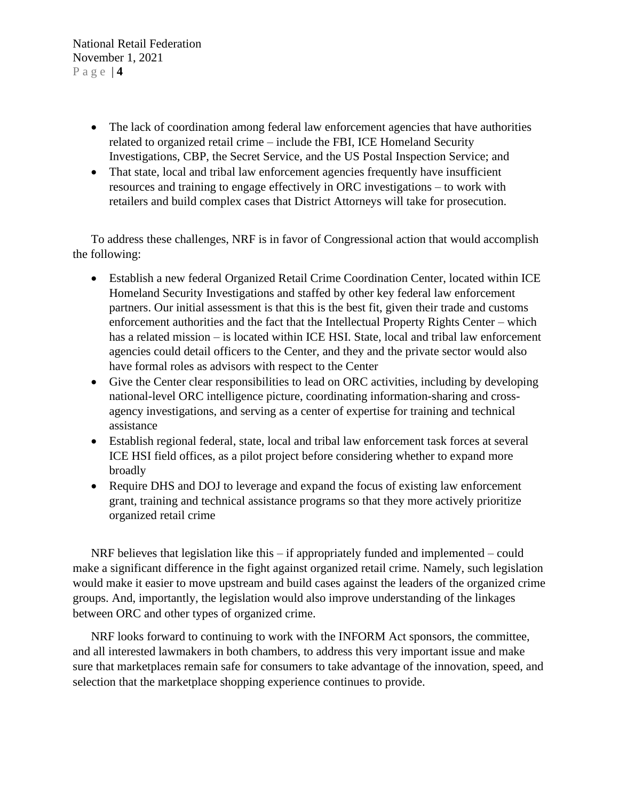- The lack of coordination among federal law enforcement agencies that have authorities related to organized retail crime – include the FBI, ICE Homeland Security Investigations, CBP, the Secret Service, and the US Postal Inspection Service; and
- That state, local and tribal law enforcement agencies frequently have insufficient resources and training to engage effectively in ORC investigations – to work with retailers and build complex cases that District Attorneys will take for prosecution.

To address these challenges, NRF is in favor of Congressional action that would accomplish the following:

- Establish a new federal Organized Retail Crime Coordination Center, located within ICE Homeland Security Investigations and staffed by other key federal law enforcement partners. Our initial assessment is that this is the best fit, given their trade and customs enforcement authorities and the fact that the Intellectual Property Rights Center – which has a related mission – is located within ICE HSI. State, local and tribal law enforcement agencies could detail officers to the Center, and they and the private sector would also have formal roles as advisors with respect to the Center
- Give the Center clear responsibilities to lead on ORC activities, including by developing national-level ORC intelligence picture, coordinating information-sharing and crossagency investigations, and serving as a center of expertise for training and technical assistance
- Establish regional federal, state, local and tribal law enforcement task forces at several ICE HSI field offices, as a pilot project before considering whether to expand more broadly
- Require DHS and DOJ to leverage and expand the focus of existing law enforcement grant, training and technical assistance programs so that they more actively prioritize organized retail crime

NRF believes that legislation like this – if appropriately funded and implemented – could make a significant difference in the fight against organized retail crime. Namely, such legislation would make it easier to move upstream and build cases against the leaders of the organized crime groups. And, importantly, the legislation would also improve understanding of the linkages between ORC and other types of organized crime.

NRF looks forward to continuing to work with the INFORM Act sponsors, the committee, and all interested lawmakers in both chambers, to address this very important issue and make sure that marketplaces remain safe for consumers to take advantage of the innovation, speed, and selection that the marketplace shopping experience continues to provide.